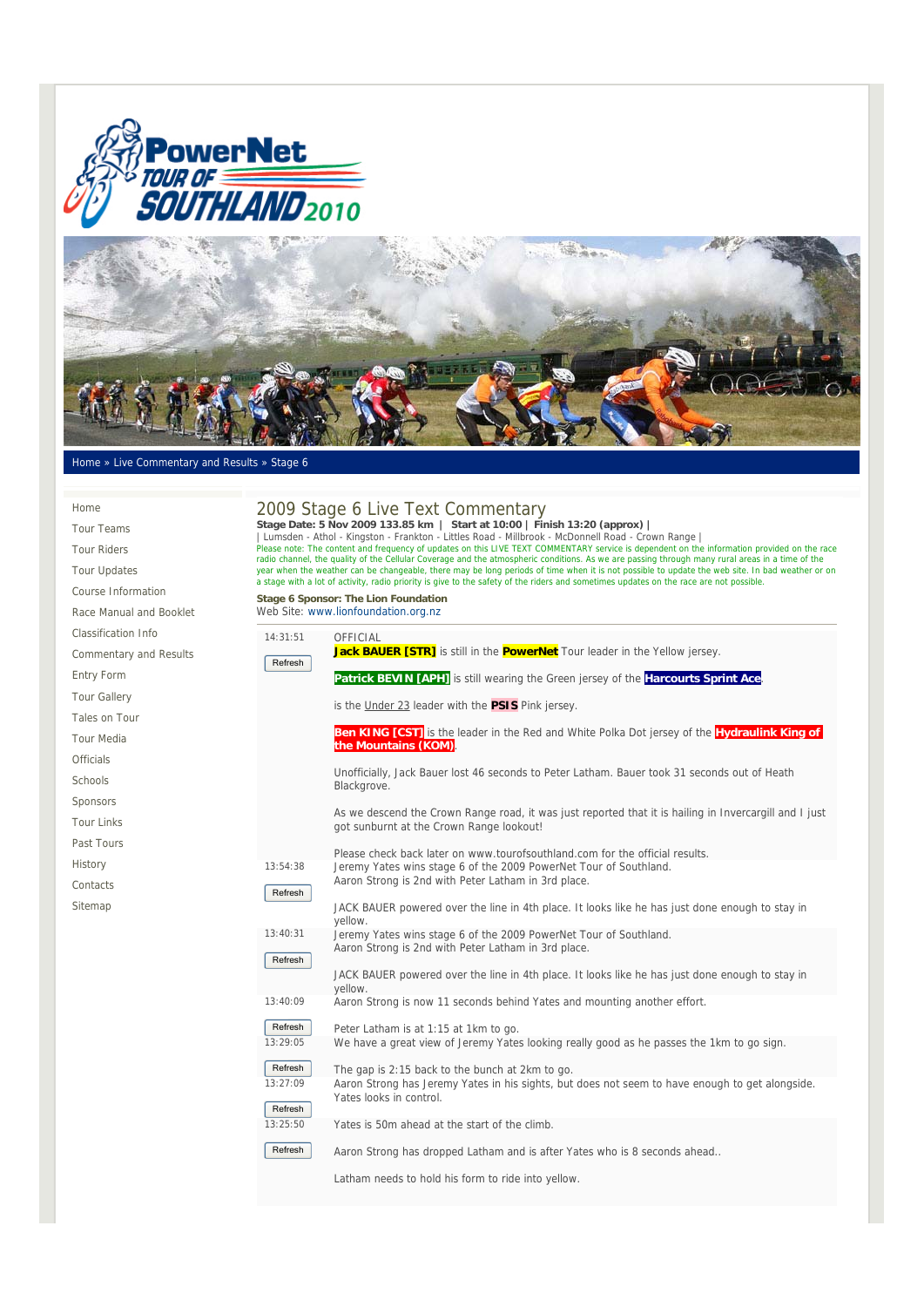



## Home » Live Commentary and Results » Stage 6

| Home                          |                                                                                                                                                                                                                                                                                                                                                                                                                                                                                             | 2009 Stage 6 Live Text Commentary                                                                                                                                                                                                                                                                                             |  |  |  |
|-------------------------------|---------------------------------------------------------------------------------------------------------------------------------------------------------------------------------------------------------------------------------------------------------------------------------------------------------------------------------------------------------------------------------------------------------------------------------------------------------------------------------------------|-------------------------------------------------------------------------------------------------------------------------------------------------------------------------------------------------------------------------------------------------------------------------------------------------------------------------------|--|--|--|
| <b>Tour Teams</b>             |                                                                                                                                                                                                                                                                                                                                                                                                                                                                                             | Stage Date: 5 Nov 2009 133.85 km   Start at 10:00   Finish 13:20 (approx)  <br>Lumsden - Athol - Kingston - Frankton - Littles Road - Millbrook - McDonnell Road - Crown Range<br>Please note: The content and frequency of updates on this LIVE TEXT COMMENTARY service is dependent on the information provided on the race |  |  |  |
| <b>Tour Riders</b>            |                                                                                                                                                                                                                                                                                                                                                                                                                                                                                             |                                                                                                                                                                                                                                                                                                                               |  |  |  |
| <b>Tour Updates</b>           | radio channel, the quality of the Cellular Coverage and the atmospheric conditions. As we are passing through many rural areas in a time of the<br>year when the weather can be changeable, there may be long periods of time when it is not possible to update the web site. In bad weather or on<br>a stage with a lot of activity, radio priority is give to the safety of the riders and sometimes updates on the race are not possible.<br><b>Stage 6 Sponsor: The Lion Foundation</b> |                                                                                                                                                                                                                                                                                                                               |  |  |  |
| Course Information            |                                                                                                                                                                                                                                                                                                                                                                                                                                                                                             |                                                                                                                                                                                                                                                                                                                               |  |  |  |
| Race Manual and Booklet       |                                                                                                                                                                                                                                                                                                                                                                                                                                                                                             | Web Site: www.lionfoundation.org.nz                                                                                                                                                                                                                                                                                           |  |  |  |
| Classification Info           | 14:31:51                                                                                                                                                                                                                                                                                                                                                                                                                                                                                    | OFFICIAL                                                                                                                                                                                                                                                                                                                      |  |  |  |
| <b>Commentary and Results</b> |                                                                                                                                                                                                                                                                                                                                                                                                                                                                                             | Jack BAUER [STR] is still in the <b>PowerNet</b> Tour leader in the Yellow jersey.                                                                                                                                                                                                                                            |  |  |  |
| Entry Form                    | Refresh                                                                                                                                                                                                                                                                                                                                                                                                                                                                                     | Patrick BEVIN [APH] is still wearing the Green jersey of the Harcourts Sprint Ace                                                                                                                                                                                                                                             |  |  |  |
| <b>Tour Gallery</b>           |                                                                                                                                                                                                                                                                                                                                                                                                                                                                                             |                                                                                                                                                                                                                                                                                                                               |  |  |  |
| Tales on Tour                 |                                                                                                                                                                                                                                                                                                                                                                                                                                                                                             | is the Under 23 leader with the PSIS Pink jersey.                                                                                                                                                                                                                                                                             |  |  |  |
| <b>Tour Media</b>             |                                                                                                                                                                                                                                                                                                                                                                                                                                                                                             | <b>Ben KING [CST]</b> is the leader in the Red and White Polka Dot jersey of the <b>Hydraulink King of</b>                                                                                                                                                                                                                    |  |  |  |
| <b>Officials</b>              |                                                                                                                                                                                                                                                                                                                                                                                                                                                                                             | the Mountains (KOM).                                                                                                                                                                                                                                                                                                          |  |  |  |
| Schools                       |                                                                                                                                                                                                                                                                                                                                                                                                                                                                                             | Unofficially, Jack Bauer lost 46 seconds to Peter Latham. Bauer took 31 seconds out of Heath                                                                                                                                                                                                                                  |  |  |  |
| Sponsors                      |                                                                                                                                                                                                                                                                                                                                                                                                                                                                                             | Blackgrove.                                                                                                                                                                                                                                                                                                                   |  |  |  |
| <b>Tour Links</b>             |                                                                                                                                                                                                                                                                                                                                                                                                                                                                                             | As we descend the Crown Range road, it was just reported that it is hailing in Invercargill and I just                                                                                                                                                                                                                        |  |  |  |
|                               |                                                                                                                                                                                                                                                                                                                                                                                                                                                                                             | got sunburnt at the Crown Range lookout!                                                                                                                                                                                                                                                                                      |  |  |  |
| Past Tours                    |                                                                                                                                                                                                                                                                                                                                                                                                                                                                                             | Please check back later on www.tourofsouthland.com for the official results.                                                                                                                                                                                                                                                  |  |  |  |
| History                       | 13:54:38                                                                                                                                                                                                                                                                                                                                                                                                                                                                                    | Jeremy Yates wins stage 6 of the 2009 PowerNet Tour of Southland.<br>Aaron Strong is 2nd with Peter Latham in 3rd place.                                                                                                                                                                                                      |  |  |  |
| Contacts                      | Refresh                                                                                                                                                                                                                                                                                                                                                                                                                                                                                     |                                                                                                                                                                                                                                                                                                                               |  |  |  |
| Sitemap                       |                                                                                                                                                                                                                                                                                                                                                                                                                                                                                             | JACK BAUER powered over the line in 4th place. It looks like he has just done enough to stay in<br>yellow.                                                                                                                                                                                                                    |  |  |  |
|                               | 13:40:31<br>Refresh                                                                                                                                                                                                                                                                                                                                                                                                                                                                         | Jeremy Yates wins stage 6 of the 2009 PowerNet Tour of Southland.<br>Aaron Strong is 2nd with Peter Latham in 3rd place.                                                                                                                                                                                                      |  |  |  |
|                               |                                                                                                                                                                                                                                                                                                                                                                                                                                                                                             | JACK BAUER powered over the line in 4th place. It looks like he has just done enough to stay in<br>yellow.                                                                                                                                                                                                                    |  |  |  |
|                               | 13:40:09                                                                                                                                                                                                                                                                                                                                                                                                                                                                                    | Aaron Strong is now 11 seconds behind Yates and mounting another effort.                                                                                                                                                                                                                                                      |  |  |  |
|                               | Refresh                                                                                                                                                                                                                                                                                                                                                                                                                                                                                     | Peter Latham is at 1:15 at 1km to go.                                                                                                                                                                                                                                                                                         |  |  |  |
|                               | 13:29:05                                                                                                                                                                                                                                                                                                                                                                                                                                                                                    | We have a great view of Jeremy Yates looking really good as he passes the 1km to go sign.                                                                                                                                                                                                                                     |  |  |  |
|                               | Refresh                                                                                                                                                                                                                                                                                                                                                                                                                                                                                     | The gap is 2:15 back to the bunch at 2km to go.                                                                                                                                                                                                                                                                               |  |  |  |

 13:27:09 Refresh Aaron Strong has Jeremy Yates in his sights, but does not seem to have enough to get alongside. Yates looks in control.

 13:25:50 Yates is 50m ahead at the start of the climb.

**Refresh** Aaron Strong has dropped Latham and is after Yates who is 8 seconds ahead..

Latham needs to hold his form to ride into yellow.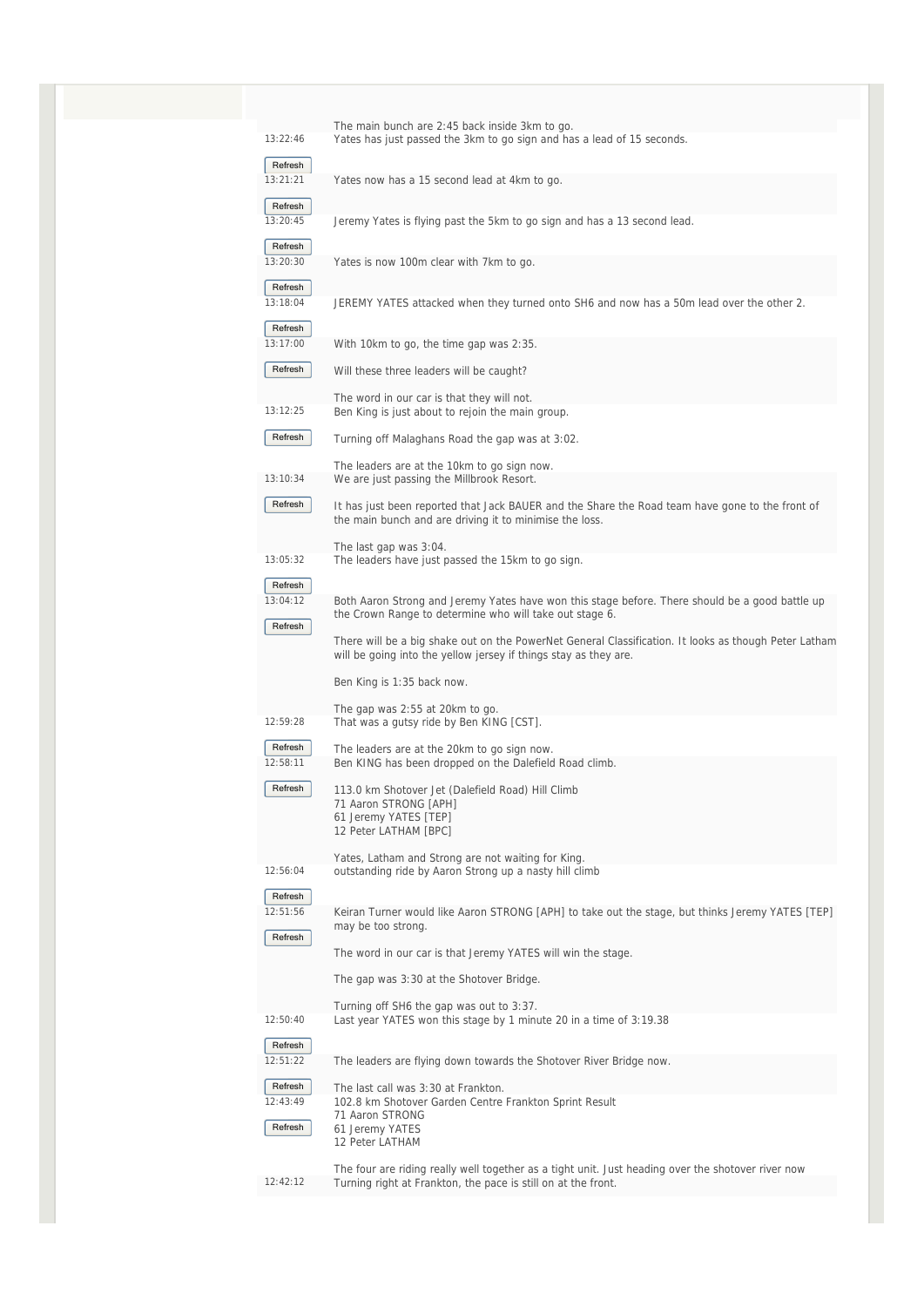| 13:22:46            | The main bunch are 2:45 back inside 3km to go.<br>Yates has just passed the 3km to go sign and has a lead of 15 seconds.                                                  |
|---------------------|---------------------------------------------------------------------------------------------------------------------------------------------------------------------------|
| Refresh             |                                                                                                                                                                           |
| 13:21:21            | Yates now has a 15 second lead at 4km to go.                                                                                                                              |
| Refresh<br>13:20:45 | Jeremy Yates is flying past the 5km to go sign and has a 13 second lead.                                                                                                  |
| Refresh<br>13:20:30 | Yates is now 100m clear with 7km to go.                                                                                                                                   |
| Refresh<br>13:18:04 | JEREMY YATES attacked when they turned onto SH6 and now has a 50m lead over the other 2.                                                                                  |
| Refresh<br>13:17:00 | With 10km to go, the time gap was 2:35.                                                                                                                                   |
| Refresh             | Will these three leaders will be caught?                                                                                                                                  |
| 13:12:25            | The word in our car is that they will not.<br>Ben King is just about to rejoin the main group.                                                                            |
| Refresh             | Turning off Malaghans Road the gap was at 3:02.                                                                                                                           |
| 13:10:34            | The leaders are at the 10km to go sign now.<br>We are just passing the Millbrook Resort.                                                                                  |
| Refresh             | It has just been reported that Jack BAUER and the Share the Road team have gone to the front of<br>the main bunch and are driving it to minimise the loss.                |
| 13:05:32            | The last gap was 3:04.<br>The leaders have just passed the 15km to go sign.                                                                                               |
| Refresh             |                                                                                                                                                                           |
| 13:04:12            | Both Aaron Strong and Jeremy Yates have won this stage before. There should be a good battle up<br>the Crown Range to determine who will take out stage 6.                |
| Refresh             | There will be a big shake out on the PowerNet General Classification. It looks as though Peter Latham<br>will be going into the yellow jersey if things stay as they are. |
|                     | Ben King is 1:35 back now.                                                                                                                                                |
| 12:59:28            | The gap was 2:55 at 20km to go.                                                                                                                                           |
| Refresh             | That was a gutsy ride by Ben KING [CST].                                                                                                                                  |
| 12:58:11            | The leaders are at the 20km to go sign now.<br>Ben KING has been dropped on the Dalefield Road climb.                                                                     |
| Refresh             | 113.0 km Shotover Jet (Dalefield Road) Hill Climb<br>71 Aaron STRONG [APH]<br>61 Jeremy YATES [TEP]<br>12 Peter LATHAM [BPC]                                              |
|                     | Yates, Latham and Strong are not waiting for King.                                                                                                                        |
| 12:56:04            | outstanding ride by Aaron Strong up a nasty hill climb                                                                                                                    |
| Refresh<br>12:51:56 | Keiran Turner would like Aaron STRONG [APH] to take out the stage, but thinks Jeremy YATES [TEP]<br>may be too strong.                                                    |
| Refresh             | The word in our car is that Jeremy YATES will win the stage.                                                                                                              |
|                     | The gap was 3:30 at the Shotover Bridge.                                                                                                                                  |
|                     | Turning off SH6 the gap was out to 3:37.                                                                                                                                  |
| 12:50:40<br>Refresh | Last year YATES won this stage by 1 minute 20 in a time of 3:19.38                                                                                                        |
| 12:51:22            | The leaders are flying down towards the Shotover River Bridge now.                                                                                                        |
| Refresh             | The last call was 3:30 at Frankton.                                                                                                                                       |
| 12:43:49            | 102.8 km Shotover Garden Centre Frankton Sprint Result<br>71 Aaron STRONG                                                                                                 |
| Refresh             | 61 Jeremy YATES<br>12 Peter LATHAM                                                                                                                                        |
| 12:42:12            | The four are riding really well together as a tight unit. Just heading over the shotover river now<br>Turning right at Frankton, the pace is still on at the front.       |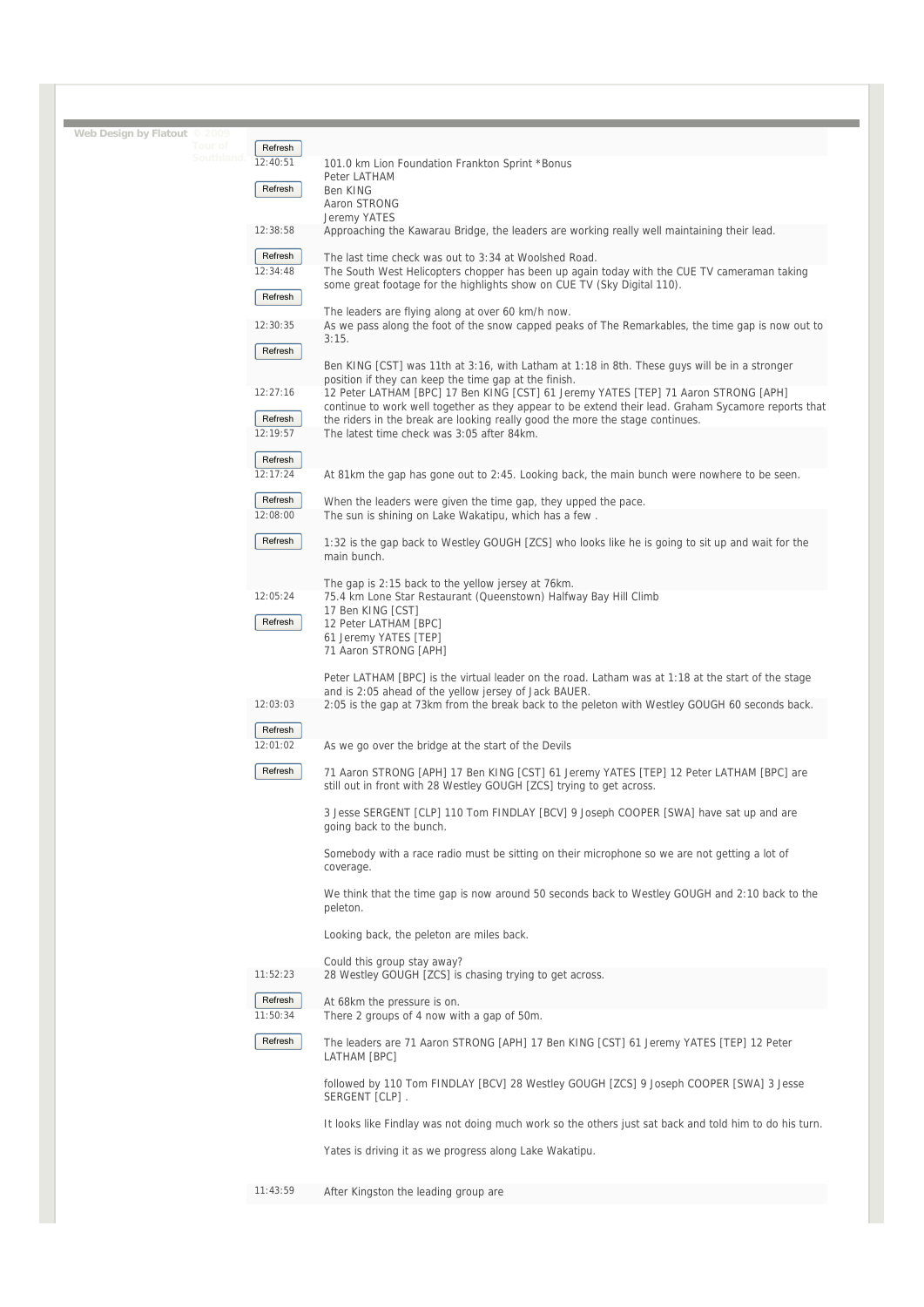| Web Design by Flatout © 2009 | Tour of   | Refresh             |                                                                                                                                                        |
|------------------------------|-----------|---------------------|--------------------------------------------------------------------------------------------------------------------------------------------------------|
|                              | Southland | 12:40:51            | 101.0 km Lion Foundation Frankton Sprint *Bonus                                                                                                        |
|                              |           |                     | Peter LATHAM                                                                                                                                           |
|                              |           | Refresh             | Ben KING<br>Aaron STRONG                                                                                                                               |
|                              |           |                     | Jeremy YATES                                                                                                                                           |
|                              |           | 12:38:58            | Approaching the Kawarau Bridge, the leaders are working really well maintaining their lead.                                                            |
|                              |           | Refresh             |                                                                                                                                                        |
|                              |           | 12:34:48            | The last time check was out to 3:34 at Woolshed Road.<br>The South West Helicopters chopper has been up again today with the CUE TV cameraman taking   |
|                              |           |                     | some great footage for the highlights show on CUE TV (Sky Digital 110).                                                                                |
|                              |           | Refresh             |                                                                                                                                                        |
|                              |           | 12:30:35            | The leaders are flying along at over 60 km/h now.<br>As we pass along the foot of the snow capped peaks of The Remarkables, the time gap is now out to |
|                              |           |                     | 3:15.                                                                                                                                                  |
|                              |           | Refresh             |                                                                                                                                                        |
|                              |           |                     | Ben KING [CST] was 11th at 3:16, with Latham at 1:18 in 8th. These guys will be in a stronger<br>position if they can keep the time gap at the finish. |
|                              |           | 12:27:16            | 12 Peter LATHAM [BPC] 17 Ben KING [CST] 61 Jeremy YATES [TEP] 71 Aaron STRONG [APH]                                                                    |
|                              |           | Refresh             | continue to work well together as they appear to be extend their lead. Graham Sycamore reports that                                                    |
|                              |           | 12:19:57            | the riders in the break are looking really good the more the stage continues.<br>The latest time check was 3:05 after 84km.                            |
|                              |           |                     |                                                                                                                                                        |
|                              |           | Refresh<br>12:17:24 |                                                                                                                                                        |
|                              |           |                     | At 81km the gap has gone out to 2:45. Looking back, the main bunch were nowhere to be seen.                                                            |
|                              |           | Refresh             | When the leaders were given the time gap, they upped the pace.                                                                                         |
|                              |           | 12:08:00            | The sun is shining on Lake Wakatipu, which has a few.                                                                                                  |
|                              |           | Refresh             | 1:32 is the gap back to Westley GOUGH [ZCS] who looks like he is going to sit up and wait for the                                                      |
|                              |           |                     | main bunch.                                                                                                                                            |
|                              |           |                     | The gap is 2:15 back to the yellow jersey at 76km.                                                                                                     |
|                              |           | 12:05:24            | 75.4 km Lone Star Restaurant (Queenstown) Halfway Bay Hill Climb                                                                                       |
|                              |           | Refresh             | 17 Ben KING [CST]                                                                                                                                      |
|                              |           |                     | 12 Peter LATHAM [BPC]<br>61 Jeremy YATES [TEP]                                                                                                         |
|                              |           |                     | 71 Aaron STRONG [APH]                                                                                                                                  |
|                              |           |                     | Peter LATHAM [BPC] is the virtual leader on the road. Latham was at 1:18 at the start of the stage                                                     |
|                              |           |                     | and is 2:05 ahead of the yellow jersey of Jack BAUER.                                                                                                  |
|                              |           | 12:03:03            | 2:05 is the gap at 73km from the break back to the peleton with Westley GOUGH 60 seconds back.                                                         |
|                              |           | Refresh             |                                                                                                                                                        |
|                              |           | 12:01:02            | As we go over the bridge at the start of the Devils                                                                                                    |
|                              |           | Refresh             | 71 Aaron STRONG [APH] 17 Ben KING [CST] 61 Jeremy YATES [TEP] 12 Peter LATHAM [BPC] are                                                                |
|                              |           |                     | still out in front with 28 Westley GOUGH [ZCS] trying to get across.                                                                                   |
|                              |           |                     |                                                                                                                                                        |
|                              |           |                     | 3 Jesse SERGENT [CLP] 110 Tom FINDLAY [BCV] 9 Joseph COOPER [SWA] have sat up and are<br>going back to the bunch.                                      |
|                              |           |                     |                                                                                                                                                        |
|                              |           |                     | Somebody with a race radio must be sitting on their microphone so we are not getting a lot of                                                          |
|                              |           |                     | coverage.                                                                                                                                              |
|                              |           |                     | We think that the time gap is now around 50 seconds back to Westley GOUGH and 2:10 back to the                                                         |
|                              |           |                     | peleton.                                                                                                                                               |
|                              |           |                     | Looking back, the peleton are miles back.                                                                                                              |
|                              |           |                     | Could this group stay away?                                                                                                                            |
|                              |           | 11:52:23            | 28 Westley GOUGH [ZCS] is chasing trying to get across.                                                                                                |
|                              |           |                     |                                                                                                                                                        |
|                              |           | Refresh<br>11:50:34 | At 68km the pressure is on.<br>There 2 groups of 4 now with a gap of 50m.                                                                              |
|                              |           |                     |                                                                                                                                                        |
|                              |           | Refresh             | The leaders are 71 Aaron STRONG [APH] 17 Ben KING [CST] 61 Jeremy YATES [TEP] 12 Peter                                                                 |
|                              |           |                     | LATHAM [BPC]                                                                                                                                           |
|                              |           |                     | followed by 110 Tom FINDLAY [BCV] 28 Westley GOUGH [ZCS] 9 Joseph COOPER [SWA] 3 Jesse                                                                 |
|                              |           |                     | SERGENT [CLP].                                                                                                                                         |
|                              |           |                     | It looks like Findlay was not doing much work so the others just sat back and told him to do his turn.                                                 |
|                              |           |                     |                                                                                                                                                        |
|                              |           |                     | Yates is driving it as we progress along Lake Wakatipu.                                                                                                |
|                              |           |                     |                                                                                                                                                        |
|                              |           | 11:43:59            | After Kingston the leading group are                                                                                                                   |
|                              |           |                     |                                                                                                                                                        |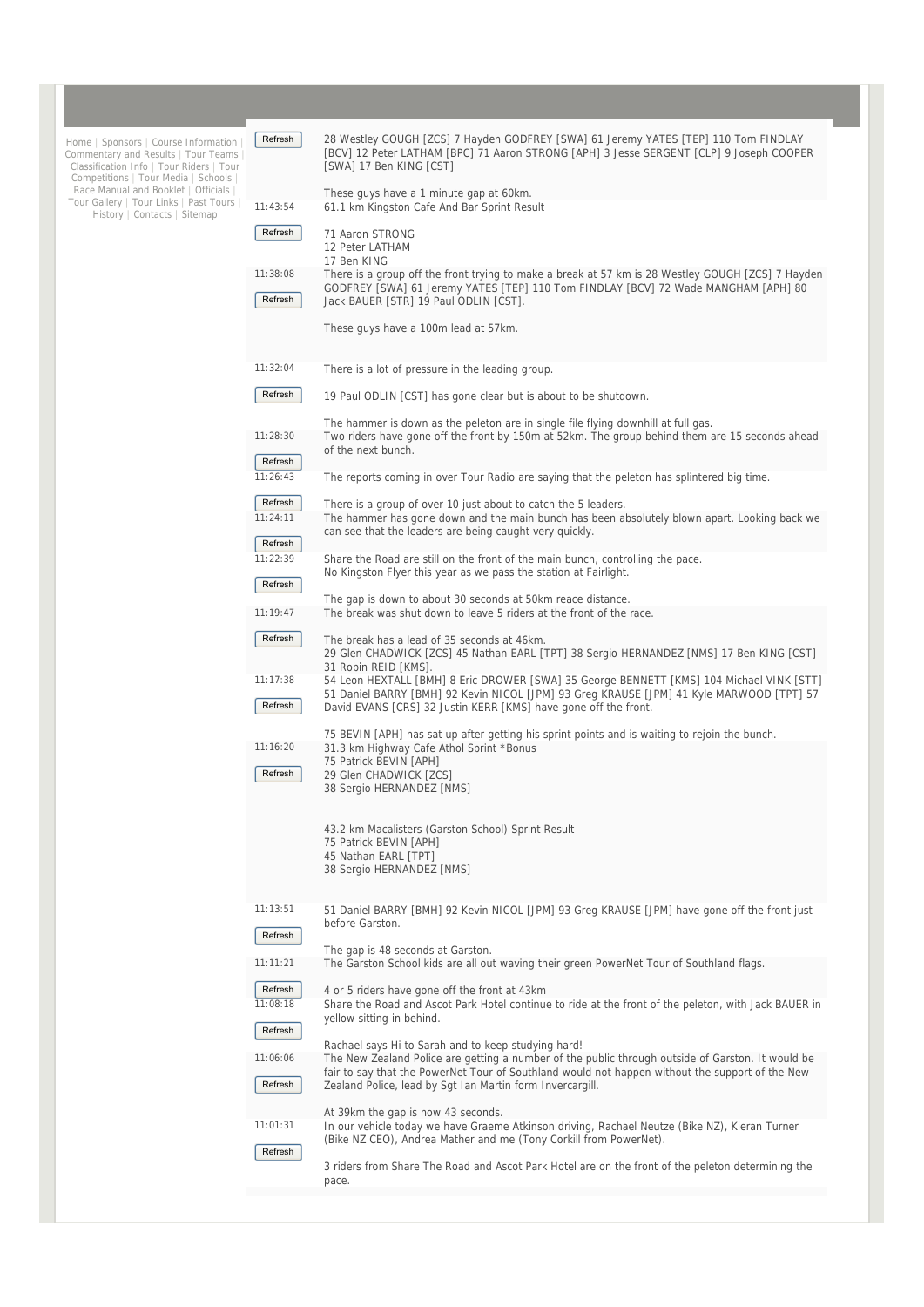| Home   Sponsors   Course Information<br>Commentary and Results   Tour Teams<br>Classification Info   Tour Riders   Tour<br>Competitions   Tour Media   Schools  <br>Race Manual and Booklet   Officials<br>Tour Gallery   Tour Links   Past Tours<br>History   Contacts   Sitemap | Refresh             | 28 Westley GOUGH [ZCS] 7 Hayden GODFREY [SWA] 61 Jeremy YATES [TEP] 110 Tom FINDLAY<br>[BCV] 12 Peter LATHAM [BPC] 71 Aaron STRONG [APH] 3 Jesse SERGENT [CLP] 9 Joseph COOPER<br>[SWA] 17 Ben KING [CST]                 |
|-----------------------------------------------------------------------------------------------------------------------------------------------------------------------------------------------------------------------------------------------------------------------------------|---------------------|---------------------------------------------------------------------------------------------------------------------------------------------------------------------------------------------------------------------------|
|                                                                                                                                                                                                                                                                                   | 11:43:54            | These guys have a 1 minute gap at 60km.<br>61.1 km Kingston Cafe And Bar Sprint Result                                                                                                                                    |
|                                                                                                                                                                                                                                                                                   | Refresh             | 71 Aaron STRONG<br>12 Peter LATHAM                                                                                                                                                                                        |
|                                                                                                                                                                                                                                                                                   | 11:38:08            | 17 Ben KING<br>There is a group off the front trying to make a break at 57 km is 28 Westley GOUGH [ZCS] 7 Hayden                                                                                                          |
|                                                                                                                                                                                                                                                                                   | Refresh             | GODFREY [SWA] 61 Jeremy YATES [TEP] 110 Tom FINDLAY [BCV] 72 Wade MANGHAM [APH] 80<br>Jack BAUER [STR] 19 Paul ODLIN [CST].                                                                                               |
|                                                                                                                                                                                                                                                                                   |                     | These guys have a 100m lead at 57km.                                                                                                                                                                                      |
|                                                                                                                                                                                                                                                                                   | 11:32:04            | There is a lot of pressure in the leading group.                                                                                                                                                                          |
|                                                                                                                                                                                                                                                                                   | Refresh             | 19 Paul ODLIN [CST] has gone clear but is about to be shutdown.                                                                                                                                                           |
|                                                                                                                                                                                                                                                                                   | 11:28:30            | The hammer is down as the peleton are in single file flying downhill at full gas.<br>Two riders have gone off the front by 150m at 52km. The group behind them are 15 seconds ahead                                       |
|                                                                                                                                                                                                                                                                                   | Refresh             | of the next bunch.                                                                                                                                                                                                        |
|                                                                                                                                                                                                                                                                                   | 11:26:43            | The reports coming in over Tour Radio are saying that the peleton has splintered big time.                                                                                                                                |
|                                                                                                                                                                                                                                                                                   | Refresh<br>11:24:11 | There is a group of over 10 just about to catch the 5 leaders.<br>The hammer has gone down and the main bunch has been absolutely blown apart. Looking back we<br>can see that the leaders are being caught very quickly. |
|                                                                                                                                                                                                                                                                                   | Refresh<br>11:22:39 | Share the Road are still on the front of the main bunch, controlling the pace.                                                                                                                                            |
|                                                                                                                                                                                                                                                                                   | Refresh             | No Kingston Flyer this year as we pass the station at Fairlight.                                                                                                                                                          |
|                                                                                                                                                                                                                                                                                   | 11:19:47            | The gap is down to about 30 seconds at 50km reace distance.<br>The break was shut down to leave 5 riders at the front of the race.                                                                                        |
|                                                                                                                                                                                                                                                                                   | Refresh             | The break has a lead of 35 seconds at 46km.<br>29 Glen CHADWICK [ZCS] 45 Nathan EARL [TPT] 38 Sergio HERNANDEZ [NMS] 17 Ben KING [CST]<br>31 Robin REID [KMS].                                                            |
|                                                                                                                                                                                                                                                                                   | 11:17:38            | 54 Leon HEXTALL [BMH] 8 Eric DROWER [SWA] 35 George BENNETT [KMS] 104 Michael VINK [STT]<br>51 Daniel BARRY [BMH] 92 Kevin NICOL [JPM] 93 Greg KRAUSE [JPM] 41 Kyle MARWOOD [TPT] 57                                      |
|                                                                                                                                                                                                                                                                                   | Refresh             | David EVANS [CRS] 32 Justin KERR [KMS] have gone off the front.                                                                                                                                                           |
|                                                                                                                                                                                                                                                                                   | 11:16:20            | 75 BEVIN [APH] has sat up after getting his sprint points and is waiting to rejoin the bunch.<br>31.3 km Highway Cafe Athol Sprint *Bonus                                                                                 |
|                                                                                                                                                                                                                                                                                   | Refresh             | 75 Patrick BEVIN [APH]<br>29 Glen CHADWICK [ZCS]                                                                                                                                                                          |
|                                                                                                                                                                                                                                                                                   |                     | 38 Sergio HERNANDEZ [NMS]                                                                                                                                                                                                 |
|                                                                                                                                                                                                                                                                                   |                     | 43.2 km Macalisters (Garston School) Sprint Result<br>75 Patrick BEVIN [APH]                                                                                                                                              |
|                                                                                                                                                                                                                                                                                   |                     | 45 Nathan EARL [TPT]<br>38 Sergio HERNANDEZ [NMS]                                                                                                                                                                         |
|                                                                                                                                                                                                                                                                                   |                     |                                                                                                                                                                                                                           |
|                                                                                                                                                                                                                                                                                   | 11:13:51            | 51 Daniel BARRY [BMH] 92 Kevin NICOL [JPM] 93 Greg KRAUSE [JPM] have gone off the front just<br>before Garston.                                                                                                           |
|                                                                                                                                                                                                                                                                                   | Refresh             | The gap is 48 seconds at Garston.                                                                                                                                                                                         |
|                                                                                                                                                                                                                                                                                   | 11:11:21            | The Garston School kids are all out waving their green PowerNet Tour of Southland flags.                                                                                                                                  |
|                                                                                                                                                                                                                                                                                   | Refresh<br>11:08:18 | 4 or 5 riders have gone off the front at 43km<br>Share the Road and Ascot Park Hotel continue to ride at the front of the peleton, with Jack BAUER in                                                                     |
|                                                                                                                                                                                                                                                                                   | Refresh             | yellow sitting in behind.                                                                                                                                                                                                 |
|                                                                                                                                                                                                                                                                                   | 11:06:06            | Rachael says Hi to Sarah and to keep studying hard!<br>The New Zealand Police are getting a number of the public through outside of Garston. It would be                                                                  |
|                                                                                                                                                                                                                                                                                   | Refresh             | fair to say that the PowerNet Tour of Southland would not happen without the support of the New<br>Zealand Police, lead by Sgt Ian Martin form Invercargill.                                                              |
|                                                                                                                                                                                                                                                                                   | 11:01:31            | At 39km the gap is now 43 seconds.                                                                                                                                                                                        |
|                                                                                                                                                                                                                                                                                   | Refresh             | In our vehicle today we have Graeme Atkinson driving, Rachael Neutze (Bike NZ), Kieran Turner<br>(Bike NZ CEO), Andrea Mather and me (Tony Corkill from PowerNet).                                                        |
|                                                                                                                                                                                                                                                                                   |                     | 3 riders from Share The Road and Ascot Park Hotel are on the front of the peleton determining the<br>pace.                                                                                                                |

п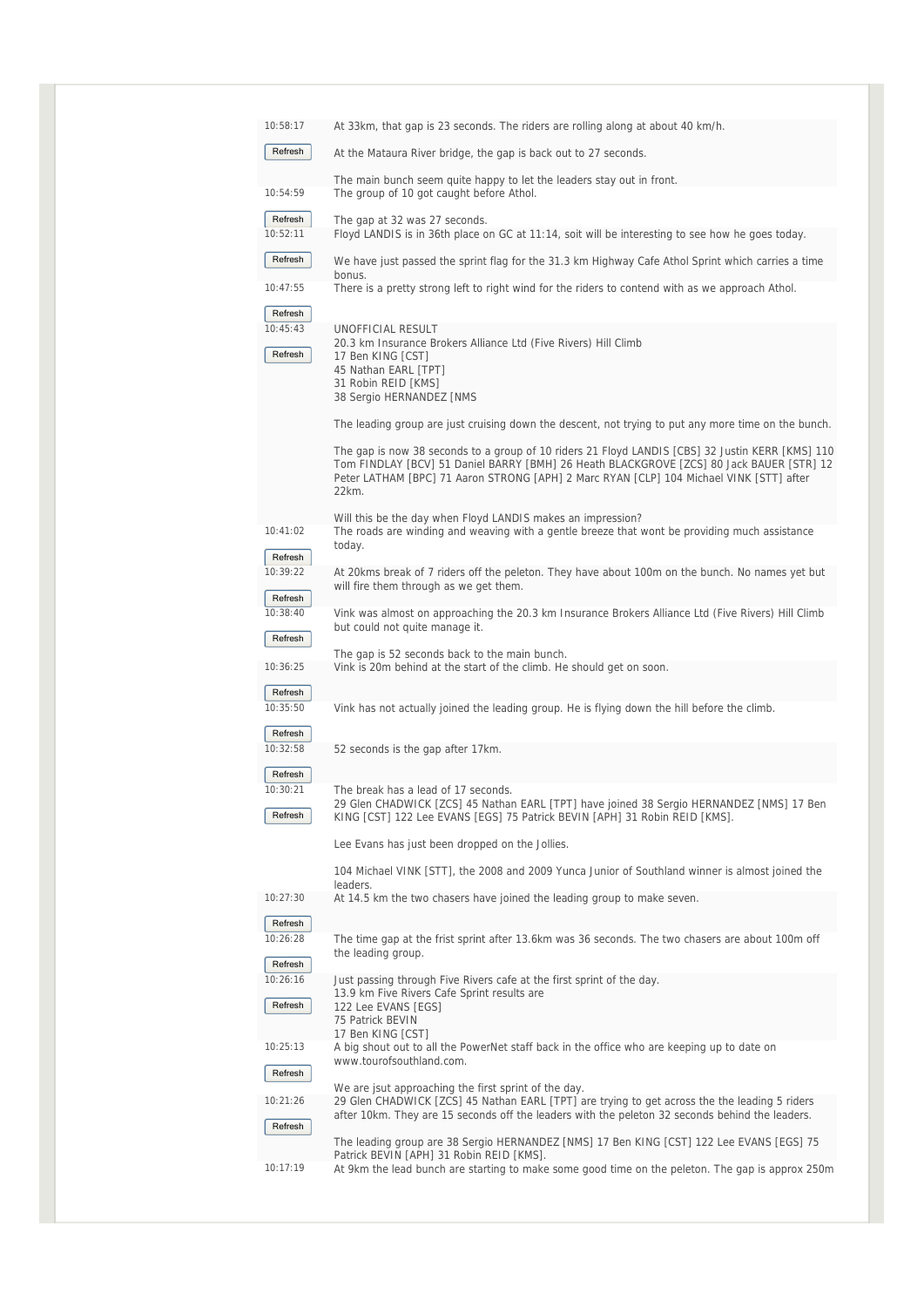| 10:58:17                       | At 33km, that gap is 23 seconds. The riders are rolling along at about 40 km/h.                                                                                                                                                                                                                  |
|--------------------------------|--------------------------------------------------------------------------------------------------------------------------------------------------------------------------------------------------------------------------------------------------------------------------------------------------|
| Refresh                        | At the Mataura River bridge, the gap is back out to 27 seconds.                                                                                                                                                                                                                                  |
| 10:54:59                       | The main bunch seem quite happy to let the leaders stay out in front.<br>The group of 10 got caught before Athol.                                                                                                                                                                                |
| Refresh<br>10:52:11            | The gap at 32 was 27 seconds.<br>Floyd LANDIS is in 36th place on GC at 11:14, soit will be interesting to see how he goes today.                                                                                                                                                                |
| Refresh                        | We have just passed the sprint flag for the 31.3 km Highway Cafe Athol Sprint which carries a time<br>bonus.                                                                                                                                                                                     |
| 10:47:55                       | There is a pretty strong left to right wind for the riders to contend with as we approach Athol.                                                                                                                                                                                                 |
| Refresh<br>10:45:43<br>Refresh | UNOFFICIAL RESULT<br>20.3 km Insurance Brokers Alliance Ltd (Five Rivers) Hill Climb<br>17 Ben KING [CST]<br>45 Nathan EARL [TPT]<br>31 Robin REID [KMS]<br>38 Sergio HERNANDEZ [NMS                                                                                                             |
|                                | The leading group are just cruising down the descent, not trying to put any more time on the bunch.                                                                                                                                                                                              |
|                                | The gap is now 38 seconds to a group of 10 riders 21 Floyd LANDIS [CBS] 32 Justin KERR [KMS] 110<br>Tom FINDLAY [BCV] 51 Daniel BARRY [BMH] 26 Heath BLACKGROVE [ZCS] 80 Jack BAUER [STR] 12<br>Peter LATHAM [BPC] 71 Aaron STRONG [APH] 2 Marc RYAN [CLP] 104 Michael VINK [STT] after<br>22km. |
| 10:41:02                       | Will this be the day when Floyd LANDIS makes an impression?<br>The roads are winding and weaving with a gentle breeze that wont be providing much assistance                                                                                                                                     |
| Refresh                        | today.                                                                                                                                                                                                                                                                                           |
| 10:39:22<br>Refresh            | At 20kms break of 7 riders off the peleton. They have about 100m on the bunch. No names yet but<br>will fire them through as we get them.                                                                                                                                                        |
| 10:38:40<br>Refresh            | Vink was almost on approaching the 20.3 km Insurance Brokers Alliance Ltd (Five Rivers) Hill Climb<br>but could not quite manage it.                                                                                                                                                             |
| 10:36:25                       | The gap is 52 seconds back to the main bunch.<br>Vink is 20m behind at the start of the climb. He should get on soon.                                                                                                                                                                            |
| Refresh<br>10:35:50            | Vink has not actually joined the leading group. He is flying down the hill before the climb.                                                                                                                                                                                                     |
| Refresh                        |                                                                                                                                                                                                                                                                                                  |
| 10:32:58<br>Refresh            | 52 seconds is the gap after 17 km.                                                                                                                                                                                                                                                               |
| 10:30:21<br>Refresh            | The break has a lead of 17 seconds.<br>29 Glen CHADWICK [ZCS] 45 Nathan EARL [TPT] have joined 38 Sergio HERNANDEZ [NMS] 17 Ben<br>KING [CST] 122 Lee EVANS [EGS] 75 Patrick BEVIN [APH] 31 Robin REID [KMS].                                                                                    |
|                                | Lee Evans has just been dropped on the Jollies.                                                                                                                                                                                                                                                  |
|                                | 104 Michael VINK [STT], the 2008 and 2009 Yunca Junior of Southland winner is almost joined the<br>leaders.                                                                                                                                                                                      |
| 10:27:30<br>Refresh            | At 14.5 km the two chasers have joined the leading group to make seven.                                                                                                                                                                                                                          |
| 10:26:28<br>Refresh            | The time gap at the frist sprint after 13.6km was 36 seconds. The two chasers are about 100m off<br>the leading group.                                                                                                                                                                           |
| 10:26:16<br>Refresh            | Just passing through Five Rivers cafe at the first sprint of the day.<br>13.9 km Five Rivers Cafe Sprint results are<br>122 Lee EVANS [EGS]<br>75 Patrick BEVIN<br>17 Ben KING [CST]                                                                                                             |
| 10:25:13<br>Refresh            | A big shout out to all the PowerNet staff back in the office who are keeping up to date on<br>www.tourofsouthland.com.                                                                                                                                                                           |
|                                | We are jsut approaching the first sprint of the day.                                                                                                                                                                                                                                             |
| 10:21:26                       | 29 Glen CHADWICK [ZCS] 45 Nathan EARL [TPT] are trying to get across the the leading 5 riders<br>after 10km. They are 15 seconds off the leaders with the peleton 32 seconds behind the leaders.                                                                                                 |
| Refresh                        | The leading group are 38 Sergio HERNANDEZ [NMS] 17 Ben KING [CST] 122 Lee EVANS [EGS] 75<br>Patrick BEVIN [APH] 31 Robin REID [KMS].                                                                                                                                                             |
| 10:17:19                       | At 9km the lead bunch are starting to make some good time on the peleton. The gap is approx 250m                                                                                                                                                                                                 |
|                                |                                                                                                                                                                                                                                                                                                  |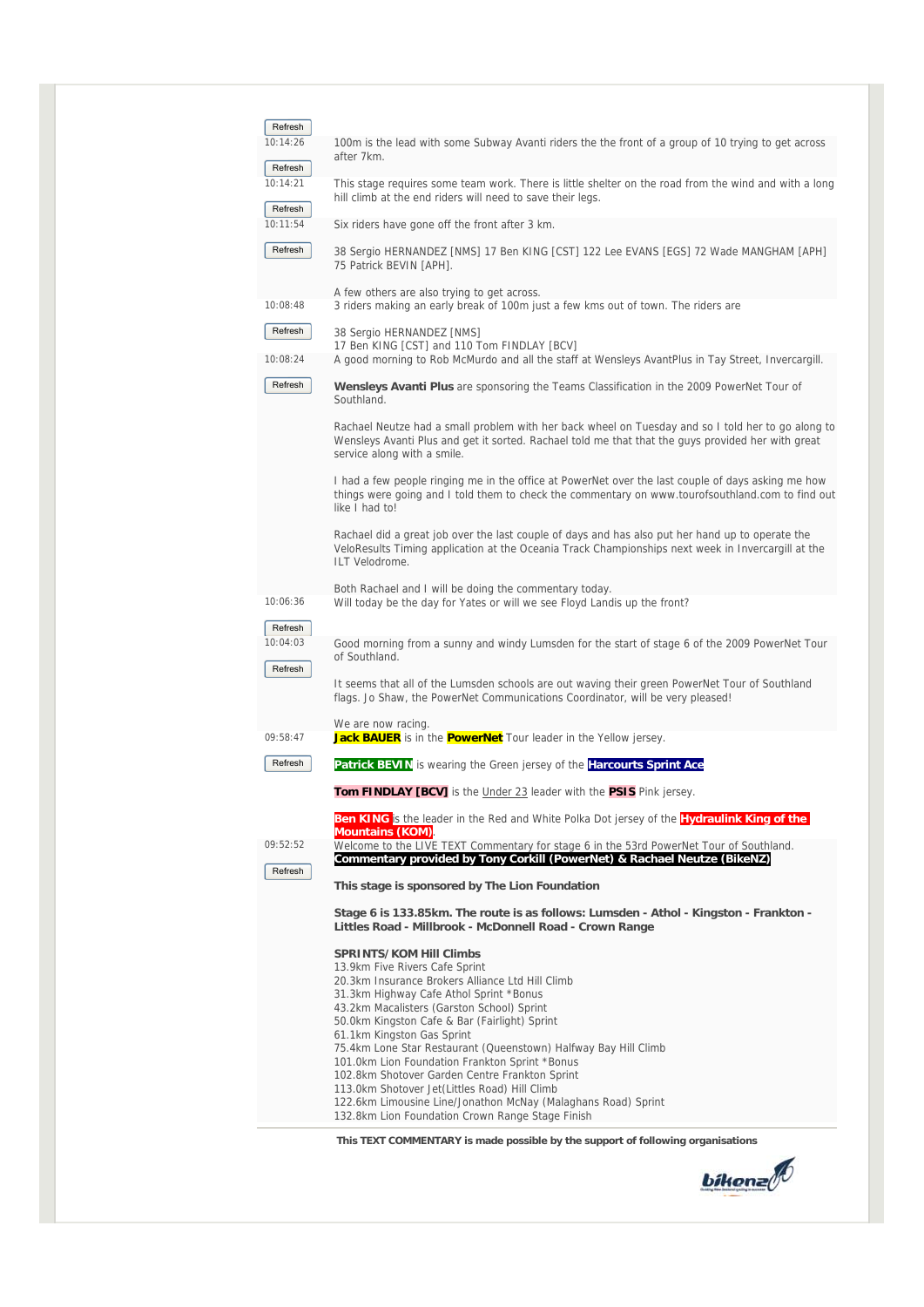| Refresh                        |                                                                                                                                                                                                                                                                                                                                                                                                                                                                                                                                                                                                                                           |
|--------------------------------|-------------------------------------------------------------------------------------------------------------------------------------------------------------------------------------------------------------------------------------------------------------------------------------------------------------------------------------------------------------------------------------------------------------------------------------------------------------------------------------------------------------------------------------------------------------------------------------------------------------------------------------------|
| 10:14:26<br>Refresh            | 100m is the lead with some Subway Avanti riders the the front of a group of 10 trying to get across<br>after 7km.                                                                                                                                                                                                                                                                                                                                                                                                                                                                                                                         |
| 10:14:21                       | This stage requires some team work. There is little shelter on the road from the wind and with a long<br>hill climb at the end riders will need to save their legs.                                                                                                                                                                                                                                                                                                                                                                                                                                                                       |
| Refresh<br>10:11:54            | Six riders have gone off the front after 3 km.                                                                                                                                                                                                                                                                                                                                                                                                                                                                                                                                                                                            |
| Refresh                        | 38 Sergio HERNANDEZ [NMS] 17 Ben KING [CST] 122 Lee EVANS [EGS] 72 Wade MANGHAM [APH]<br>75 Patrick BEVIN [APH].                                                                                                                                                                                                                                                                                                                                                                                                                                                                                                                          |
| 10:08:48                       | A few others are also trying to get across.<br>3 riders making an early break of 100m just a few kms out of town. The riders are                                                                                                                                                                                                                                                                                                                                                                                                                                                                                                          |
| Refresh<br>10:08:24            | 38 Sergio HERNANDEZ [NMS]<br>17 Ben KING [CST] and 110 Tom FINDLAY [BCV]<br>A good morning to Rob McMurdo and all the staff at Wensleys AvantPlus in Tay Street, Invercargill.                                                                                                                                                                                                                                                                                                                                                                                                                                                            |
| Refresh                        | <b>Wensleys Avanti Plus</b> are sponsoring the Teams Classification in the 2009 PowerNet Tour of<br>Southland.                                                                                                                                                                                                                                                                                                                                                                                                                                                                                                                            |
|                                | Rachael Neutze had a small problem with her back wheel on Tuesday and so I told her to go along to<br>Wensleys Avanti Plus and get it sorted. Rachael told me that that the guys provided her with great<br>service along with a smile.                                                                                                                                                                                                                                                                                                                                                                                                   |
|                                | I had a few people ringing me in the office at PowerNet over the last couple of days asking me how<br>things were going and I told them to check the commentary on www.tourofsouthland.com to find out<br>like I had to!                                                                                                                                                                                                                                                                                                                                                                                                                  |
|                                | Rachael did a great job over the last couple of days and has also put her hand up to operate the<br>VeloResults Timing application at the Oceania Track Championships next week in Invercargill at the<br>ILT Velodrome.                                                                                                                                                                                                                                                                                                                                                                                                                  |
| 10:06:36                       | Both Rachael and I will be doing the commentary today.<br>Will today be the day for Yates or will we see Floyd Landis up the front?                                                                                                                                                                                                                                                                                                                                                                                                                                                                                                       |
| Refresh<br>10:04:03<br>Refresh | Good morning from a sunny and windy Lumsden for the start of stage 6 of the 2009 PowerNet Tour<br>of Southland.                                                                                                                                                                                                                                                                                                                                                                                                                                                                                                                           |
|                                | It seems that all of the Lumsden schools are out waving their green PowerNet Tour of Southland<br>flags. Jo Shaw, the PowerNet Communications Coordinator, will be very pleased!                                                                                                                                                                                                                                                                                                                                                                                                                                                          |
| 09:58:47                       | We are now racing.<br>Jack BAUER is in the <b>PowerNet</b> Tour leader in the Yellow jersey.                                                                                                                                                                                                                                                                                                                                                                                                                                                                                                                                              |
| Refresh                        | Patrick BEVIN is wearing the Green jersey of the Harcourts Sprint Ace                                                                                                                                                                                                                                                                                                                                                                                                                                                                                                                                                                     |
|                                | <b>Tom FINDLAY [BCV]</b> is the <i>Under 23</i> leader with the PSIS Pink jersey.                                                                                                                                                                                                                                                                                                                                                                                                                                                                                                                                                         |
|                                | Ben KING is the leader in the Red and White Polka Dot jersey of the Hydraulink King of the                                                                                                                                                                                                                                                                                                                                                                                                                                                                                                                                                |
| 09:52:52                       | <b>Mountains (KOM)</b><br>Welcome to the LIVE TEXT Commentary for stage 6 in the 53rd PowerNet Tour of Southland.                                                                                                                                                                                                                                                                                                                                                                                                                                                                                                                         |
| Refresh                        | Commentary provided by Tony Corkill (PowerNet) & Rachael Neutze (BikeNZ)<br>This stage is sponsored by The Lion Foundation                                                                                                                                                                                                                                                                                                                                                                                                                                                                                                                |
|                                | Stage 6 is 133.85km. The route is as follows: Lumsden - Athol - Kingston - Frankton -<br>Littles Road - Millbrook - McDonnell Road - Crown Range                                                                                                                                                                                                                                                                                                                                                                                                                                                                                          |
|                                | <b>SPRINTS/KOM Hill Climbs</b><br>13.9km Five Rivers Cafe Sprint<br>20.3km Insurance Brokers Alliance Ltd Hill Climb<br>31.3km Highway Cafe Athol Sprint *Bonus<br>43.2km Macalisters (Garston School) Sprint<br>50.0km Kingston Cafe & Bar (Fairlight) Sprint<br>61.1km Kingston Gas Sprint<br>75.4km Lone Star Restaurant (Queenstown) Halfway Bay Hill Climb<br>101.0km Lion Foundation Frankton Sprint *Bonus<br>102.8km Shotover Garden Centre Frankton Sprint<br>113.0km Shotover Jet(Littles Road) Hill Climb<br>122.6km Limousine Line/Jonathon McNay (Malaghans Road) Sprint<br>132.8km Lion Foundation Crown Range Stage Finish |
|                                | This TEXT COMMENTARY is made possible by the support of following organisations                                                                                                                                                                                                                                                                                                                                                                                                                                                                                                                                                           |